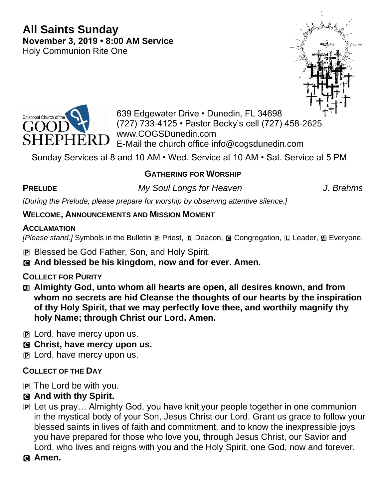# **All Saints Sunday November 3, 2019 • 8:00 AM Service**

Holy Communion Rite One





639 Edgewater Drive • Dunedin, FL 34698 (727) 733-4125 • Pastor Becky's cell (727) 458-2625 www.COGSDunedin.com E-Mail the church office info@cogsdunedin.com

Sunday Services at 8 and 10 AM • Wed. Service at 10 AM • Sat. Service at 5 PM

## **GATHERING FOR WORSHIP**

**PRELUDE** *My Soul Longs for Heaven J. Brahms*

*[During the Prelude, please prepare for worship by observing attentive silence.]*

#### **WELCOME, ANNOUNCEMENTS AND MISSION MOMENT**

#### **ACCLAMATION**

*[Please stand.]* Symbols in the Bulletin <sub>[P]</sub> Priest, <sub>[D]</sub> Deacon, **@** Congregation, **L** Leader, **m** Everyone.

- P Blessed be God Father, Son, and Holy Spirit.
- C **And blessed be his kingdom, now and for ever. Amen.**

# **COLLECT FOR PURITY**

- a **Almighty God, unto whom all hearts are open, all desires known, and from whom no secrets are hid Cleanse the thoughts of our hearts by the inspiration of thy Holy Spirit, that we may perfectly love thee, and worthily magnify thy holy Name; through Christ our Lord. Amen.**
- **P** Lord, have mercy upon us.
- C **Christ, have mercy upon us.**
- P Lord, have mercy upon us.

## **COLLECT OF THE DAY**

- P The Lord be with you.
- C **And with thy Spirit.**
- P Let us pray… Almighty God, you have knit your people together in one communion in the mystical body of your Son, Jesus Christ our Lord. Grant us grace to follow your blessed saints in lives of faith and commitment, and to know the inexpressible joys you have prepared for those who love you, through Jesus Christ, our Savior and Lord, who lives and reigns with you and the Holy Spirit, one God, now and forever.
- C **Amen.**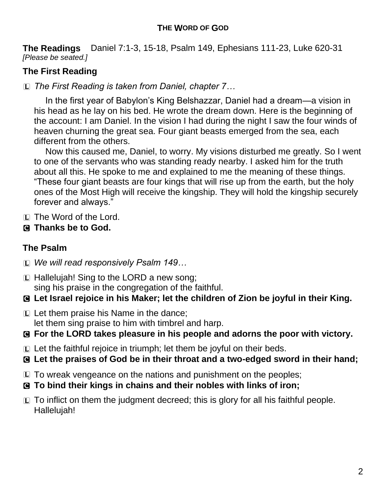**The Readings** Daniel 7:1-3, 15-18, Psalm 149, Ephesians 111-23, Luke 620-31 *[Please be seated.]*

# **The First Reading**

L *The First Reading is taken from Daniel, chapter 7…*

In the first year of Babylon's King Belshazzar, Daniel had a dream—a vision in his head as he lay on his bed. He wrote the dream down. Here is the beginning of the account: I am Daniel. In the vision I had during the night I saw the four winds of heaven churning the great sea. Four giant beasts emerged from the sea, each different from the others.

Now this caused me, Daniel, to worry. My visions disturbed me greatly. So I went to one of the servants who was standing ready nearby. I asked him for the truth about all this. He spoke to me and explained to me the meaning of these things. "These four giant beasts are four kings that will rise up from the earth, but the holy ones of the Most High will receive the kingship. They will hold the kingship securely forever and always."

L The Word of the Lord.

# C **Thanks be to God.**

# **The Psalm**

- L *We will read responsively Psalm 149…*
- $\Box$  Hallelujah! Sing to the LORD a new song; sing his praise in the congregation of the faithful.
- C **Let Israel rejoice in his Maker; let the children of Zion be joyful in their King.**
- $\Box$  Let them praise his Name in the dance; let them sing praise to him with timbrel and harp.
- C **For the LORD takes pleasure in his people and adorns the poor with victory.**
- $\Box$  Let the faithful rejoice in triumph; let them be joyful on their beds.
- C **Let the praises of God be in their throat and a two-edged sword in their hand;**
- L To wreak vengeance on the nations and punishment on the peoples;
- C **To bind their kings in chains and their nobles with links of iron;**
- $\Box$  To inflict on them the judgment decreed; this is glory for all his faithful people. Hallelujah!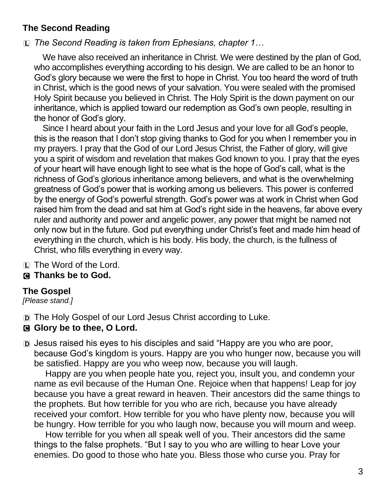# **The Second Reading**

## L *The Second Reading is taken from Ephesians, chapter 1…*

We have also received an inheritance in Christ. We were destined by the plan of God, who accomplishes everything according to his design. We are called to be an honor to God's glory because we were the first to hope in Christ. You too heard the word of truth in Christ, which is the good news of your salvation. You were sealed with the promised Holy Spirit because you believed in Christ. The Holy Spirit is the down payment on our inheritance, which is applied toward our redemption as God's own people, resulting in the honor of God's glory.

Since I heard about your faith in the Lord Jesus and your love for all God's people, this is the reason that I don't stop giving thanks to God for you when I remember you in my prayers. I pray that the God of our Lord Jesus Christ, the Father of glory, will give you a spirit of wisdom and revelation that makes God known to you. I pray that the eyes of your heart will have enough light to see what is the hope of God's call, what is the richness of God's glorious inheritance among believers, and what is the overwhelming greatness of God's power that is working among us believers. This power is conferred by the energy of God's powerful strength. God's power was at work in Christ when God raised him from the dead and sat him at God's right side in the heavens, far above every ruler and authority and power and angelic power, any power that might be named not only now but in the future. God put everything under Christ's feet and made him head of everything in the church, which is his body. His body, the church, is the fullness of Christ, who fills everything in every way.

L The Word of the Lord.

## C **Thanks be to God.**

## **The Gospel**

*[Please stand.]*

- D The Holy Gospel of our Lord Jesus Christ according to Luke.
- **G** Glory be to thee, O Lord.
- D Jesus raised his eyes to his disciples and said "Happy are you who are poor, because God's kingdom is yours. Happy are you who hunger now, because you will be satisfied. Happy are you who weep now, because you will laugh.

Happy are you when people hate you, reject you, insult you, and condemn your name as evil because of the Human One. Rejoice when that happens! Leap for joy because you have a great reward in heaven. Their ancestors did the same things to the prophets. But how terrible for you who are rich, because you have already received your comfort. How terrible for you who have plenty now, because you will be hungry. How terrible for you who laugh now, because you will mourn and weep.

How terrible for you when all speak well of you. Their ancestors did the same things to the false prophets. "But I say to you who are willing to hear Love your enemies. Do good to those who hate you. Bless those who curse you. Pray for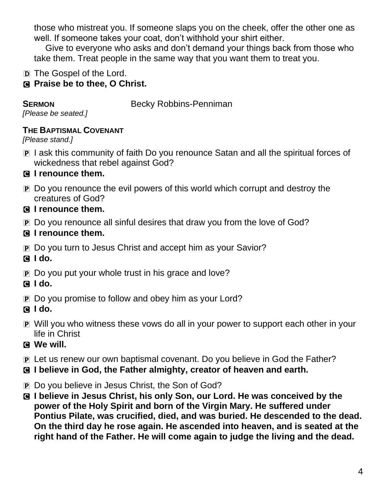those who mistreat you. If someone slaps you on the cheek, offer the other one as well. If someone takes your coat, don't withhold your shirt either.

Give to everyone who asks and don't demand your things back from those who take them. Treat people in the same way that you want them to treat you.

D The Gospel of the Lord.

# C **Praise be to thee, O Christ.**

**SERMON** Becky Robbins-Penniman

*[Please be seated.]*

# **THE BAPTISMAL COVENANT**

*[Please stand.]*

P I ask this community of faith Do you renounce Satan and all the spiritual forces of wickedness that rebel against God?

# C **I renounce them.**

- P Do you renounce the evil powers of this world which corrupt and destroy the creatures of God?
- C **I renounce them.**
- P Do you renounce all sinful desires that draw you from the love of God?
- C **I renounce them.**
- P Do you turn to Jesus Christ and accept him as your Savior?
- C **I do.**
- P Do you put your whole trust in his grace and love?
- C **I do.**
- P Do you promise to follow and obey him as your Lord?
- C **I do.**
- P Will you who witness these vows do all in your power to support each other in your life in Christ
- **G** We will.
- P Let us renew our own baptismal covenant. Do you believe in God the Father?
- C **I believe in God, the Father almighty, creator of heaven and earth.**
- **P** Do you believe in Jesus Christ, the Son of God?
- C **I believe in Jesus Christ, his only Son, our Lord. He was conceived by the power of the Holy Spirit and born of the Virgin Mary. He suffered under Pontius Pilate, was crucified, died, and was buried. He descended to the dead. On the third day he rose again. He ascended into heaven, and is seated at the right hand of the Father. He will come again to judge the living and the dead.**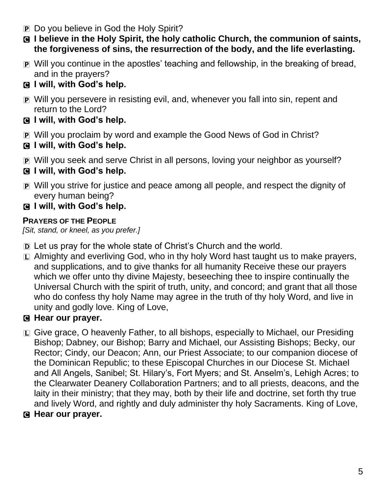- P Do you believe in God the Holy Spirit?
- C **I believe in the Holy Spirit, the holy catholic Church, the communion of saints, the forgiveness of sins, the resurrection of the body, and the life everlasting.**
- P Will you continue in the apostles' teaching and fellowship, in the breaking of bread, and in the prayers?
- C **I will, with God's help.**
- P Will you persevere in resisting evil, and, whenever you fall into sin, repent and return to the Lord?
- C **I will, with God's help.**
- P Will you proclaim by word and example the Good News of God in Christ?
- C **I will, with God's help.**
- P Will you seek and serve Christ in all persons, loving your neighbor as yourself?
- C **I will, with God's help.**
- P Will you strive for justice and peace among all people, and respect the dignity of every human being?
- C **I will, with God's help.**

# **PRAYERS OF THE PEOPLE**

*[Sit, stand, or kneel, as you prefer.]*

- D Let us pray for the whole state of Christ's Church and the world.
- L Almighty and everliving God, who in thy holy Word hast taught us to make prayers, and supplications, and to give thanks for all humanity Receive these our prayers which we offer unto thy divine Majesty, beseeching thee to inspire continually the Universal Church with the spirit of truth, unity, and concord; and grant that all those who do confess thy holy Name may agree in the truth of thy holy Word, and live in unity and godly love. King of Love,

# C **Hear our prayer.**

- L Give grace, O heavenly Father, to all bishops, especially to Michael, our Presiding Bishop; Dabney, our Bishop; Barry and Michael, our Assisting Bishops; Becky, our Rector; Cindy, our Deacon; Ann, our Priest Associate; to our companion diocese of the Dominican Republic; to these Episcopal Churches in our Diocese St. Michael and All Angels, Sanibel; St. Hilary's, Fort Myers; and St. Anselm's, Lehigh Acres; to the Clearwater Deanery Collaboration Partners; and to all priests, deacons, and the laity in their ministry; that they may, both by their life and doctrine, set forth thy true and lively Word, and rightly and duly administer thy holy Sacraments. King of Love,
- C **Hear our prayer.**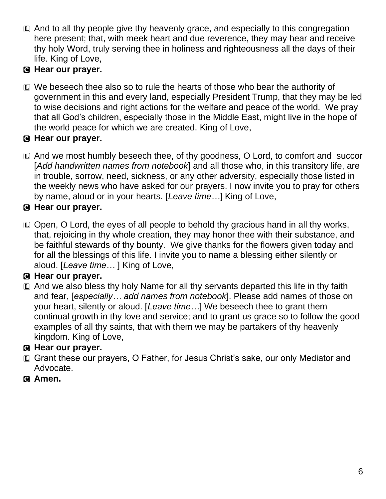$E$  And to all thy people give thy heavenly grace, and especially to this congregation here present; that, with meek heart and due reverence, they may hear and receive thy holy Word, truly serving thee in holiness and righteousness all the days of their life. King of Love,

# C **Hear our prayer.**

L We beseech thee also so to rule the hearts of those who bear the authority of government in this and every land, especially President Trump, that they may be led to wise decisions and right actions for the welfare and peace of the world. We pray that all God's children, especially those in the Middle East, might live in the hope of the world peace for which we are created. King of Love,

# C **Hear our prayer.**

L And we most humbly beseech thee, of thy goodness, O Lord, to comfort and succor [*Add handwritten names from notebook*] and all those who, in this transitory life, are in trouble, sorrow, need, sickness, or any other adversity, especially those listed in the weekly news who have asked for our prayers. I now invite you to pray for others by name, aloud or in your hearts. [*Leave time…*] King of Love,

# C **Hear our prayer.**

 $\Box$  Open, O Lord, the eyes of all people to behold thy gracious hand in all thy works, that, rejoicing in thy whole creation, they may honor thee with their substance, and be faithful stewards of thy bounty. We give thanks for the flowers given today and for all the blessings of this life. I invite you to name a blessing either silently or aloud. [*Leave time…* ] King of Love,

# C **Hear our prayer.**

L And we also bless thy holy Name for all thy servants departed this life in thy faith and fear, [*especially… add names from notebook*]. Please add names of those on your heart, silently or aloud. [*Leave time…*] We beseech thee to grant them continual growth in thy love and service; and to grant us grace so to follow the good examples of all thy saints, that with them we may be partakers of thy heavenly kingdom. King of Love,

# C **Hear our prayer.**

- L Grant these our prayers, O Father, for Jesus Christ's sake, our only Mediator and Advocate.
- C **Amen.**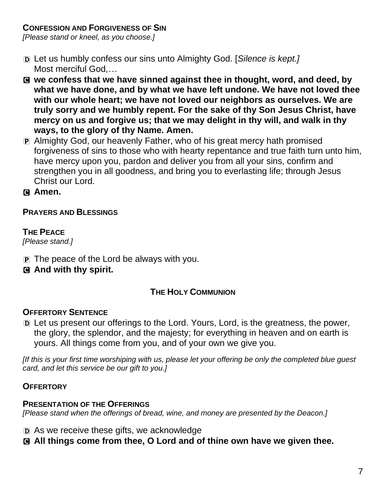## **CONFESSION AND FORGIVENESS OF SIN**

*[Please stand or kneel, as you choose.]*

- D Let us humbly confess our sins unto Almighty God. [*Silence is kept.]*  Most merciful God,*…*
- C **we confess that we have sinned against thee in thought, word, and deed, by what we have done, and by what we have left undone. We have not loved thee with our whole heart; we have not loved our neighbors as ourselves. We are truly sorry and we humbly repent. For the sake of thy Son Jesus Christ, have mercy on us and forgive us; that we may delight in thy will, and walk in thy ways, to the glory of thy Name. Amen.**
- P Almighty God, our heavenly Father, who of his great mercy hath promised forgiveness of sins to those who with hearty repentance and true faith turn unto him, have mercy upon you, pardon and deliver you from all your sins, confirm and strengthen you in all goodness, and bring you to everlasting life; through Jesus Christ our Lord.
- C **Amen.**

## **PRAYERS AND BLESSINGS**

#### **THE PEACE**

*[Please stand.]*

- $\mathbf{P}$  The peace of the Lord be always with you.
- C **And with thy spirit.**

## **THE HOLY COMMUNION**

## **OFFERTORY SENTENCE**

D Let us present our offerings to the Lord. Yours, Lord, is the greatness, the power, the glory, the splendor, and the majesty; for everything in heaven and on earth is yours. All things come from you, and of your own we give you.

*[If this is your first time worshiping with us, please let your offering be only the completed blue guest card, and let this service be our gift to you.]*

## **OFFERTORY**

#### **PRESENTATION OF THE OFFERINGS**

*[Please stand when the offerings of bread, wine, and money are presented by the Deacon.]*

- D As we receive these gifts, we acknowledge
- C **All things come from thee, O Lord and of thine own have we given thee.**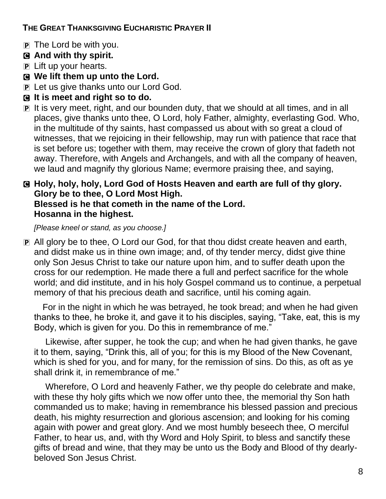# **THE GREAT THANKSGIVING EUCHARISTIC PRAYER II**

- P The Lord be with you.
- C **And with thy spirit.**
- P Lift up your hearts.
- C **We lift them up unto the Lord.**
- P Let us give thanks unto our Lord God.
- C **It is meet and right so to do.**
- P It is very meet, right, and our bounden duty, that we should at all times, and in all places, give thanks unto thee, O Lord, holy Father, almighty, everlasting God. Who, in the multitude of thy saints, hast compassed us about with so great a cloud of witnesses, that we rejoicing in their fellowship, may run with patience that race that is set before us; together with them, may receive the crown of glory that fadeth not away. Therefore, with Angels and Archangels, and with all the company of heaven, we laud and magnify thy glorious Name; evermore praising thee, and saying,

## C **Holy, holy, holy, Lord God of Hosts Heaven and earth are full of thy glory. Glory be to thee, O Lord Most High. Blessed is he that cometh in the name of the Lord. Hosanna in the highest.**

*[Please kneel or stand, as you choose.]*

P All glory be to thee, O Lord our God, for that thou didst create heaven and earth, and didst make us in thine own image; and, of thy tender mercy, didst give thine only Son Jesus Christ to take our nature upon him, and to suffer death upon the cross for our redemption. He made there a full and perfect sacrifice for the whole world; and did institute, and in his holy Gospel command us to continue, a perpetual memory of that his precious death and sacrifice, until his coming again.

For in the night in which he was betrayed, he took bread; and when he had given thanks to thee, he broke it, and gave it to his disciples, saying, "Take, eat, this is my Body, which is given for you. Do this in remembrance of me."

Likewise, after supper, he took the cup; and when he had given thanks, he gave it to them, saying, "Drink this, all of you; for this is my Blood of the New Covenant, which is shed for you, and for many, for the remission of sins. Do this, as oft as ye shall drink it, in remembrance of me."

Wherefore, O Lord and heavenly Father, we thy people do celebrate and make, with these thy holy gifts which we now offer unto thee, the memorial thy Son hath commanded us to make; having in remembrance his blessed passion and precious death, his mighty resurrection and glorious ascension; and looking for his coming again with power and great glory. And we most humbly beseech thee, O merciful Father, to hear us, and, with thy Word and Holy Spirit, to bless and sanctify these gifts of bread and wine, that they may be unto us the Body and Blood of thy dearlybeloved Son Jesus Christ.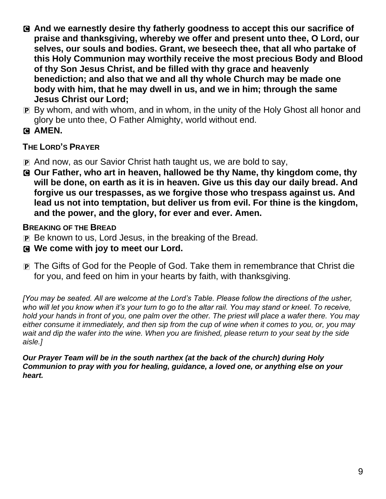- C **And we earnestly desire thy fatherly goodness to accept this our sacrifice of praise and thanksgiving, whereby we offer and present unto thee, O Lord, our selves, our souls and bodies. Grant, we beseech thee, that all who partake of this Holy Communion may worthily receive the most precious Body and Blood of thy Son Jesus Christ, and be filled with thy grace and heavenly benediction; and also that we and all thy whole Church may be made one body with him, that he may dwell in us, and we in him; through the same Jesus Christ our Lord;**
- P By whom, and with whom, and in whom, in the unity of the Holy Ghost all honor and glory be unto thee, O Father Almighty, world without end.
- C **AMEN.**

## **THE LORD'S PRAYER**

- P And now, as our Savior Christ hath taught us, we are bold to say,
- C **Our Father, who art in heaven, hallowed be thy Name, thy kingdom come, thy will be done, on earth as it is in heaven. Give us this day our daily bread. And forgive us our trespasses, as we forgive those who trespass against us. And lead us not into temptation, but deliver us from evil. For thine is the kingdom, and the power, and the glory, for ever and ever. Amen.**

## **BREAKING OF THE BREAD**

- P Be known to us, Lord Jesus, in the breaking of the Bread.
- C **We come with joy to meet our Lord.**
- P The Gifts of God for the People of God. Take them in remembrance that Christ die for you, and feed on him in your hearts by faith, with thanksgiving.

*[You may be seated. All are welcome at the Lord's Table. Please follow the directions of the usher,*  who will let you know when it's your turn to go to the altar rail. You may stand or kneel. To receive, *hold your hands in front of you, one palm over the other. The priest will place a wafer there. You may either consume it immediately, and then sip from the cup of wine when it comes to you, or, you may*  wait and dip the wafer into the wine. When you are finished, please return to your seat by the side *aisle.]*

*Our Prayer Team will be in the south narthex (at the back of the church) during Holy Communion to pray with you for healing, guidance, a loved one, or anything else on your heart.*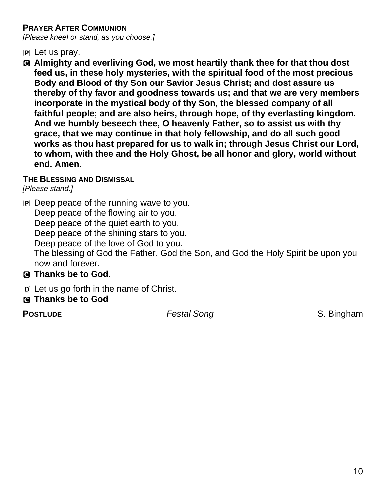# **PRAYER AFTER COMMUNION**

*[Please kneel or stand, as you choose.]*

- $\overline{P}$  Let us pray.
- C **Almighty and everliving God, we most heartily thank thee for that thou dost feed us, in these holy mysteries, with the spiritual food of the most precious Body and Blood of thy Son our Savior Jesus Christ; and dost assure us thereby of thy favor and goodness towards us; and that we are very members incorporate in the mystical body of thy Son, the blessed company of all faithful people; and are also heirs, through hope, of thy everlasting kingdom. And we humbly beseech thee, O heavenly Father, so to assist us with thy grace, that we may continue in that holy fellowship, and do all such good works as thou hast prepared for us to walk in; through Jesus Christ our Lord, to whom, with thee and the Holy Ghost, be all honor and glory, world without end. Amen.**

## **THE BLESSING AND DISMISSAL**

*[Please stand.]*

P Deep peace of the running wave to you.

Deep peace of the flowing air to you.

Deep peace of the quiet earth to you.

Deep peace of the shining stars to you.

Deep peace of the love of God to you.

The blessing of God the Father, God the Son, and God the Holy Spirit be upon you now and forever.

# C **Thanks be to God.**

D Let us go forth in the name of Christ.

# C **Thanks be to God**

**POSTLUDE** *Festal Song* S. Bingham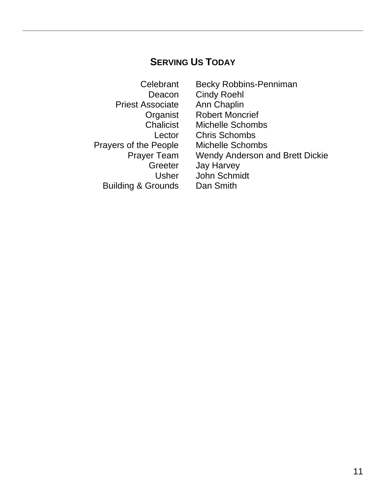# **SERVING US TODAY**

Priest Associate Ann Chaplin Prayers of the People Michelle Schombs<br>Prayer Team Wendy Anderson a Building & Grounds Dan Smith

Celebrant Becky Robbins-Penniman Deacon Cindy Roehl Organist Robert Moncrief Chalicist Michelle Schombs Lector Chris Schombs Wendy Anderson and Brett Dickie Greeter Jay Harvey Usher John Schmidt